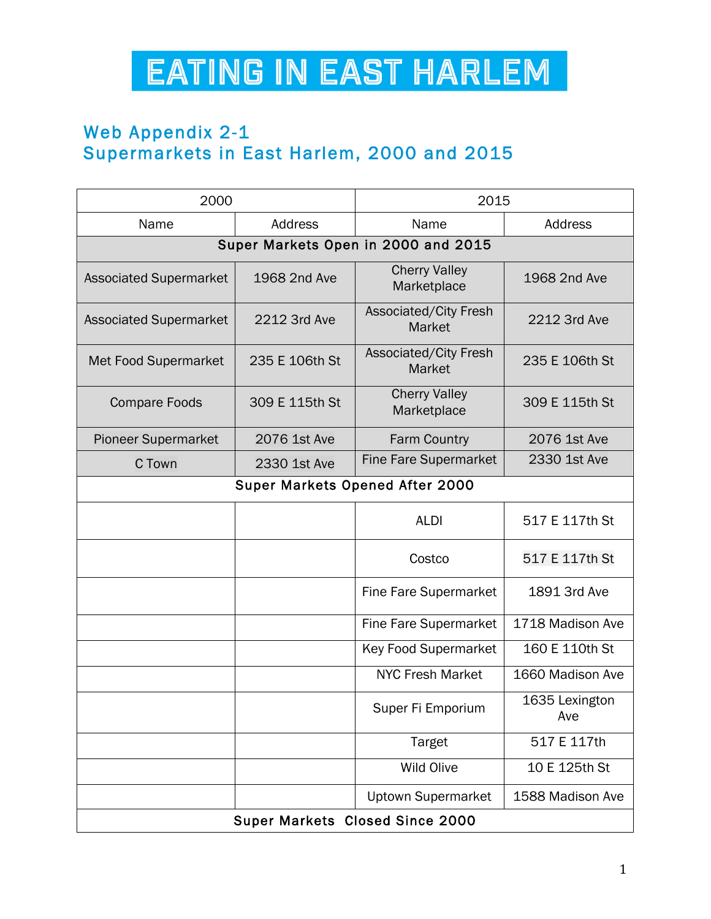## EATING IN EAST HARLEM

## Web Appendix 2-1 Supermarkets in East Harlem, 2000 and 2015

| 2000                                |                | 2015                                |                       |  |
|-------------------------------------|----------------|-------------------------------------|-----------------------|--|
| Name                                | <b>Address</b> | Name                                | Address               |  |
| Super Markets Open in 2000 and 2015 |                |                                     |                       |  |
| <b>Associated Supermarket</b>       | 1968 2nd Ave   | <b>Cherry Valley</b><br>Marketplace | 1968 2nd Ave          |  |
| <b>Associated Supermarket</b>       | 2212 3rd Ave   | Associated/City Fresh<br>Market     | 2212 3rd Ave          |  |
| <b>Met Food Supermarket</b>         | 235 E 106th St | Associated/City Fresh<br>Market     | 235 E 106th St        |  |
| <b>Compare Foods</b>                | 309 E 115th St | <b>Cherry Valley</b><br>Marketplace | 309 E 115th St        |  |
| <b>Pioneer Supermarket</b>          | 2076 1st Ave   | <b>Farm Country</b>                 | 2076 1st Ave          |  |
| C Town                              | 2330 1st Ave   | <b>Fine Fare Supermarket</b>        | 2330 1st Ave          |  |
| Super Markets Opened After 2000     |                |                                     |                       |  |
|                                     |                | <b>ALDI</b>                         | 517 E 117th St        |  |
|                                     |                | Costco                              | 517 E 117th St        |  |
|                                     |                | Fine Fare Supermarket               | 1891 3rd Ave          |  |
|                                     |                | Fine Fare Supermarket               | 1718 Madison Ave      |  |
|                                     |                | <b>Key Food Supermarket</b>         | 160 E 110th St        |  |
|                                     |                | <b>NYC Fresh Market</b>             | 1660 Madison Ave      |  |
|                                     |                | Super Fi Emporium                   | 1635 Lexington<br>Ave |  |
|                                     |                | <b>Target</b>                       | 517 E 117th           |  |
|                                     |                | <b>Wild Olive</b>                   | 10 E 125th St         |  |
|                                     |                | <b>Uptown Supermarket</b>           | 1588 Madison Ave      |  |
| Super Markets Closed Since 2000     |                |                                     |                       |  |